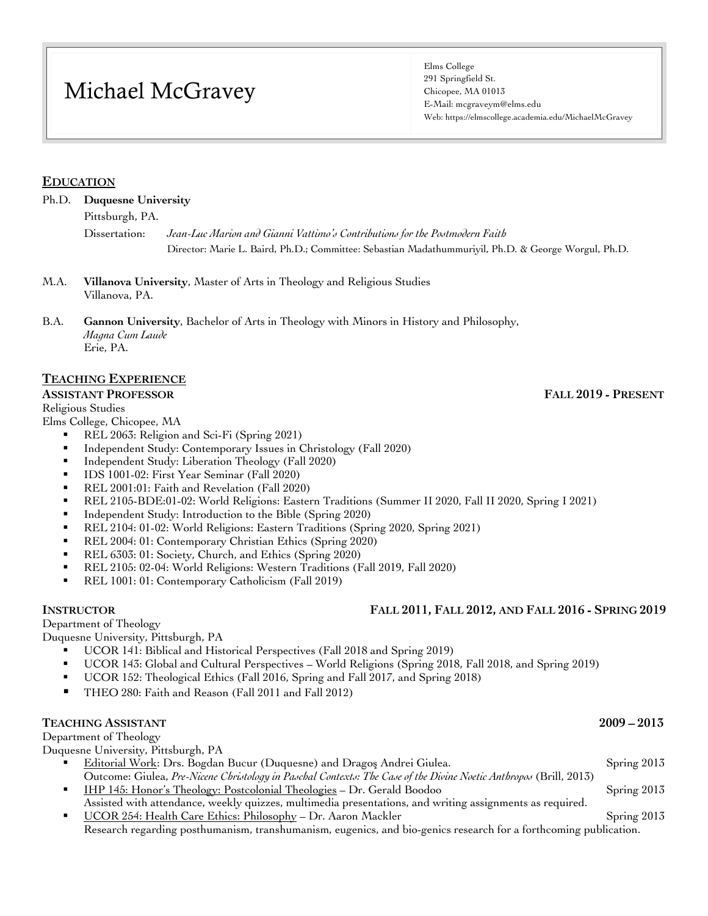# Michael McGravey

Elms College 291 Springfield St. Chicopee, MA 01013 E-Mail: mcgraveym@elms.edu Web: https://elmscollege.academia.edu/MichaelMcGravey

### **EDUCATION**

Ph.D. **Duquesne University**

Pittsburgh, PA.

Dissertation: *Jean-Luc Marion and Gianni Vattimo's Contributions for the Postmodern Faith* Director: Marie L. Baird, Ph.D.; Committee: Sebastian Madathummuriyil, Ph.D. & George Worgul, Ph.D.

M.A. **Villanova University**, Master of Arts in Theology and Religious Studies Villanova, PA.

B.A. **Gannon University**, Bachelor of Arts in Theology with Minors in History and Philosophy, *Magna Cum Laude* Erie, PA.

### **TEACHING EXPERIENCE**

#### **ASSISTANT PROFESSOR FALL 2019 - PRESENT**

Religious Studies

Elms College, Chicopee, MA

- § REL 2063: Religion and Sci-Fi (Spring 2021)
- Independent Study: Contemporary Issues in Christology (Fall 2020)
- Independent Study: Liberation Theology (Fall 2020)
- § IDS 1001-02: First Year Seminar (Fall 2020)
- § REL 2001:01: Faith and Revelation (Fall 2020)
- § REL 2105-BDE:01-02: World Religions: Eastern Traditions (Summer II 2020, Fall II 2020, Spring I 2021)
- § Independent Study: Introduction to the Bible (Spring 2020)
- § REL 2104: 01-02: World Religions: Eastern Traditions (Spring 2020, Spring 2021)
- § REL 2004: 01: Contemporary Christian Ethics (Spring 2020)
- § REL 6303: 01: Society, Church, and Ethics (Spring 2020)
- § REL 2105: 02-04: World Religions: Western Traditions (Fall 2019, Fall 2020)
- § REL 1001: 01: Contemporary Catholicism (Fall 2019)

#### Department of Theology

Duquesne University, Pittsburgh, PA

- § UCOR 141: Biblical and Historical Perspectives (Fall 2018 and Spring 2019)
- § UCOR 143: Global and Cultural Perspectives World Religions (Spring 2018, Fall 2018, and Spring 2019)
- § UCOR 152: Theological Ethics (Fall 2016, Spring and Fall 2017, and Spring 2018)
- § THEO 280: Faith and Reason (Fall 2011 and Fall 2012)

#### **TEACHING ASSISTANT 2009 – 2013**

Department of Theology

Duquesne University, Pittsburgh, PA

- § Editorial Work: Drs. Bogdan Bucur (Duquesne) and Dragoş Andrei Giulea. Spring 2013 Outcome: Giulea, *Pre-Nicene Christology in Paschal Contexts: The Case of the Divine Noetic Anthropos* (Brill, 2013)
- § IHP 145: Honor's Theology: Postcolonial Theologies Dr. Gerald Boodoo Spring 2013 Assisted with attendance, weekly quizzes, multimedia presentations, and writing assignments as required.
- § UCOR 254: Health Care Ethics: Philosophy Dr. Aaron Mackler Spring 2013 Research regarding posthumanism, transhumanism, eugenics, and bio-genics research for a forthcoming publication.

### **INSTRUCTOR FALL 2011, FALL 2012, AND FALL 2016 - SPRING 2019**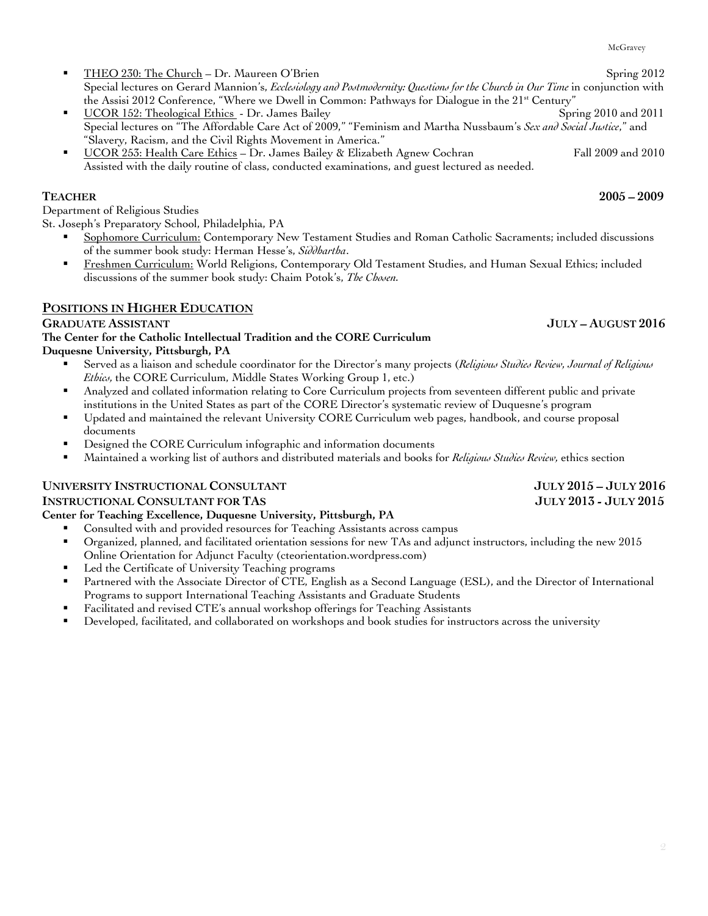### § THEO 230: The Church – Dr. Maureen O'Brien Spring 2012 Special lectures on Gerard Mannion's, *Ecclesiology and Postmodernity: Questions for the Church in Our Time* in conjunction with the Assisi 2012 Conference, "Where we Dwell in Common: Pathways for Dialogue in the 21<sup>st</sup> Century"

- § UCOR 152: Theological Ethics Dr. James Bailey Spring 2010 and 2011 Special lectures on "The Affordable Care Act of 2009," "Feminism and Martha Nussbaum's *Sex and Social Justice*," and "Slavery, Racism, and the Civil Rights Movement in America."
- § UCOR 253: Health Care Ethics Dr. James Bailey & Elizabeth Agnew Cochran Fall 2009 and 2010 Assisted with the daily routine of class, conducted examinations, and guest lectured as needed.

Department of Religious Studies

St. Joseph's Preparatory School, Philadelphia, PA

- § Sophomore Curriculum: Contemporary New Testament Studies and Roman Catholic Sacraments; included discussions of the summer book study: Herman Hesse's, *Siddhartha*.
- § Freshmen Curriculum: World Religions, Contemporary Old Testament Studies, and Human Sexual Ethics; included discussions of the summer book study: Chaim Potok's, *The Chosen.*

# **POSITIONS IN HIGHER EDUCATION**

## **GRADUATE ASSISTANT JULY – AUGUST 2016**

**The Center for the Catholic Intellectual Tradition and the CORE Curriculum Duquesne University, Pittsburgh, PA**

- § Served as a liaison and schedule coordinator for the Director's many projects (*Religious Studies Review, Journal of Religious Ethics,* the CORE Curriculum, Middle States Working Group 1, etc.)
- Analyzed and collated information relating to Core Curriculum projects from seventeen different public and private institutions in the United States as part of the CORE Director's systematic review of Duquesne's program
- § Updated and maintained the relevant University CORE Curriculum web pages, handbook, and course proposal documents
- Designed the CORE Curriculum infographic and information documents
- § Maintained a working list of authors and distributed materials and books for *Religious Studies Review,* ethics section

# **UNIVERSITY INSTRUCTIONAL CONSULTANT JULY 2015 – JULY 2016**

### **INSTRUCTIONAL CONSULTANT FOR TAS JULY 2013 - JULY 2015**

# **Center for Teaching Excellence, Duquesne University, Pittsburgh, PA**

- § Consulted with and provided resources for Teaching Assistants across campus
- § Organized, planned, and facilitated orientation sessions for new TAs and adjunct instructors, including the new 2015 Online Orientation for Adjunct Faculty (cteorientation.wordpress.com)
- Led the Certificate of University Teaching programs
- **•** Partnered with the Associate Director of CTE, English as a Second Language (ESL), and the Director of International Programs to support International Teaching Assistants and Graduate Students
- § Facilitated and revised CTE's annual workshop offerings for Teaching Assistants
- Developed, facilitated, and collaborated on workshops and book studies for instructors across the university

McGravey

**TEACHER 2005 – 2009**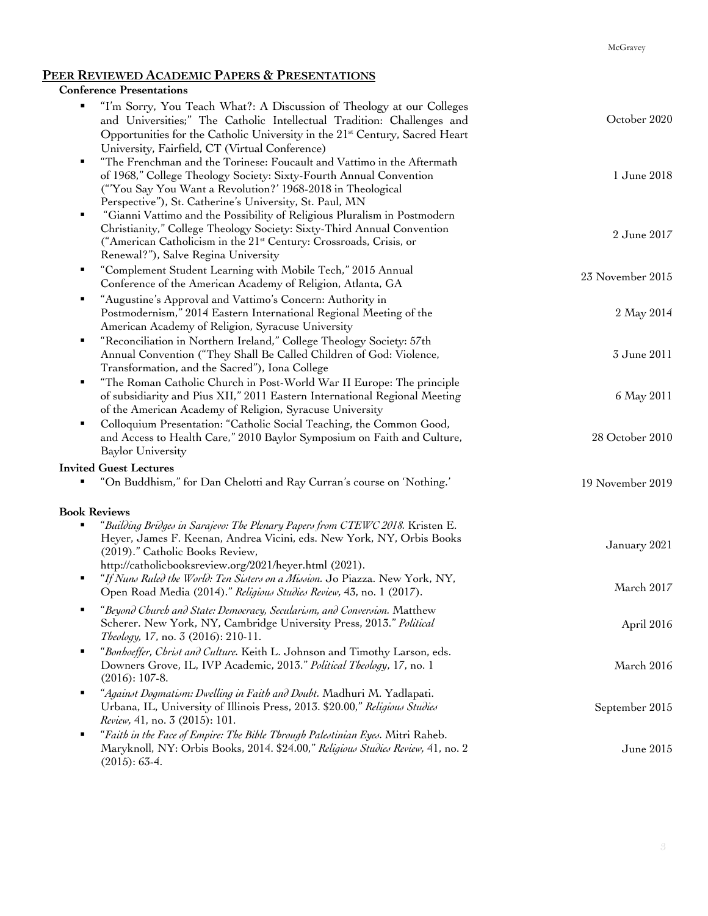### **PEER REVIEWED ACADEMIC PAPERS & PRESENTATIONS**

## **Conference Presentations**

| "I'm Sorry, You Teach What?: A Discussion of Theology at our Colleges<br>and Universities;" The Catholic Intellectual Tradition: Challenges and<br>Opportunities for the Catholic University in the 21 <sup>st</sup> Century, Sacred Heart<br>University, Fairfield, CT (Virtual Conference) | October 2020     |
|----------------------------------------------------------------------------------------------------------------------------------------------------------------------------------------------------------------------------------------------------------------------------------------------|------------------|
| "The Frenchman and the Torinese: Foucault and Vattimo in the Aftermath<br>٠<br>of 1968," College Theology Society: Sixty-Fourth Annual Convention<br>("You Say You Want a Revolution?' 1968-2018 in Theological<br>Perspective"), St. Catherine's University, St. Paul, MN                   | 1 June 2018      |
| "Gianni Vattimo and the Possibility of Religious Pluralism in Postmodern<br>٠<br>Christianity," College Theology Society: Sixty-Third Annual Convention<br>("American Catholicism in the 21 <sup>st</sup> Century: Crossroads, Crisis, or<br>Renewal?"), Salve Regina University             | 2 June 2017      |
| "Complement Student Learning with Mobile Tech," 2015 Annual<br>٠<br>Conference of the American Academy of Religion, Atlanta, GA                                                                                                                                                              | 23 November 2015 |
| "Augustine's Approval and Vattimo's Concern: Authority in<br>٠<br>Postmodernism," 2014 Eastern International Regional Meeting of the<br>American Academy of Religion, Syracuse University                                                                                                    | 2 May 2014       |
| "Reconciliation in Northern Ireland," College Theology Society: 57th<br>٠<br>Annual Convention ("They Shall Be Called Children of God: Violence,<br>Transformation, and the Sacred"), Iona College                                                                                           | 3 June 2011      |
| "The Roman Catholic Church in Post-World War II Europe: The principle<br>٠<br>of subsidiarity and Pius XII," 2011 Eastern International Regional Meeting<br>of the American Academy of Religion, Syracuse University                                                                         | 6 May 2011       |
| Colloquium Presentation: "Catholic Social Teaching, the Common Good,<br>٠<br>and Access to Health Care," 2010 Baylor Symposium on Faith and Culture,<br><b>Baylor University</b>                                                                                                             | 28 October 2010  |
| <b>Invited Guest Lectures</b>                                                                                                                                                                                                                                                                |                  |
| "On Buddhism," for Dan Chelotti and Ray Curran's course on 'Nothing."<br>٠                                                                                                                                                                                                                   | 19 November 2019 |
| <b>Book Reviews</b>                                                                                                                                                                                                                                                                          |                  |
| "Building Bridges in Sarajevo: The Plenary Papers from CTEWC 2018. Kristen E.<br>٠<br>Heyer, James F. Keenan, Andrea Vicini, eds. New York, NY, Orbis Books<br>(2019)." Catholic Books Review,<br>http://catholicbooksreview.org/2021/heyer.html (2021).                                     | January 2021     |
| "If Nuns Ruled the World: Ten Sisters on a Mission. Jo Piazza. New York, NY,<br>٠<br>Open Road Media (2014)." Religious Studies Review, 43, no. 1 (2017).                                                                                                                                    | March 2017       |
| "Beyond Church and State: Democracy, Secularism, and Conversion. Matthew<br>Scherer. New York, NY, Cambridge University Press, 2013." Political<br>Theology, 17, no. 3 (2016): 210-11.                                                                                                       | April 2016       |
| "Bonhoeffer, Christ and Culture. Keith L. Johnson and Timothy Larson, eds.<br>$\blacksquare$<br>Downers Grove, IL, IVP Academic, 2013." Political Theology, 17, no. 1<br>$(2016): 107-8.$                                                                                                    | March 2016       |
| "Against Dogmatism: Dwelling in Faith and Doubt. Madhuri M. Yadlapati.<br>٠<br>Urbana, IL, University of Illinois Press, 2013. \$20.00," Religious Studies<br>Review, 41, no. 3 (2015): 101.                                                                                                 | September 2015   |
| "Faith in the Face of Empire: The Bible Through Palestinian Eyes. Mitri Raheb.<br>٠<br>Maryknoll, NY: Orbis Books, 2014. \$24.00," Religious Studies Review, 41, no. 2<br>$(2015): 63-4.$                                                                                                    | June 2015        |